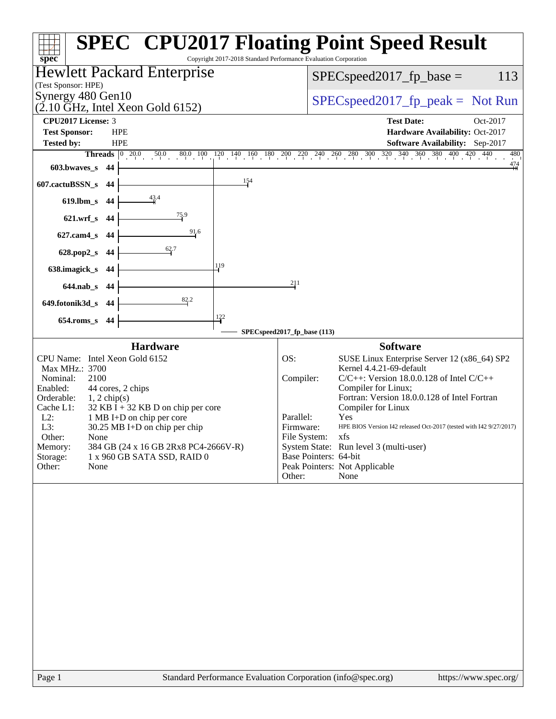| Copyright 2017-2018 Standard Performance Evaluation Corporation<br>spec <sup>®</sup> | <b>SPEC<sup>®</sup> CPU2017 Floating Point Speed Result</b>                                                                                                                              |
|--------------------------------------------------------------------------------------|------------------------------------------------------------------------------------------------------------------------------------------------------------------------------------------|
| Hewlett Packard Enterprise<br>(Test Sponsor: HPE)                                    | $SPEC speed2017_fp\_base =$<br>113                                                                                                                                                       |
| Synergy 480 Gen10<br>$(2.10 \text{ GHz}, \text{Intel Xeon Gold } 6152)$              | $SPEC speed2017rfp peak = Not Run$                                                                                                                                                       |
| <b>CPU2017 License: 3</b>                                                            | <b>Test Date:</b><br>Oct-2017                                                                                                                                                            |
| <b>Test Sponsor:</b><br><b>HPE</b>                                                   | Hardware Availability: Oct-2017                                                                                                                                                          |
| Tested by:<br><b>HPE</b>                                                             | Software Availability: Sep-2017                                                                                                                                                          |
|                                                                                      | <b>Threads</b> $\begin{bmatrix} 0 & 20.0 & 50.0 & 80.0 & 100 & 120 & 140 & 160 & 180 & 200 & 220 & 240 & 260 & 280 & 300 & 320 & 340 & 360 & 380 & 400 & 420 & 440 \end{bmatrix}$<br>480 |
| 603.bwaves_s 44                                                                      | $\frac{474}{11}$                                                                                                                                                                         |
| 154<br>607.cactuBSSN_s<br>-44                                                        |                                                                                                                                                                                          |
| $\frac{43.4}{1}$<br>619.lbm_s 44                                                     |                                                                                                                                                                                          |
| $\frac{75.9}{2}$<br>621.wrf_s 44                                                     |                                                                                                                                                                                          |
| 91.6<br>627.cam4_s 44                                                                |                                                                                                                                                                                          |
| 628.pop2_s 44                                                                        |                                                                                                                                                                                          |
| 119<br>638.imagick_s 44                                                              |                                                                                                                                                                                          |
| 644.nab_s 44                                                                         | 211                                                                                                                                                                                      |
| 649.fotonik3d_s 44                                                                   |                                                                                                                                                                                          |
| $\frac{122}{ }$<br>654.roms_s 44                                                     |                                                                                                                                                                                          |
|                                                                                      | SPECspeed2017_fp_base (113)                                                                                                                                                              |
| <b>Hardware</b>                                                                      | <b>Software</b>                                                                                                                                                                          |
| CPU Name: Intel Xeon Gold 6152                                                       | OS:<br>SUSE Linux Enterprise Server 12 (x86_64) SP2                                                                                                                                      |
| Max MHz.: 3700<br>2100<br>Nominal:                                                   | Kernel 4.4.21-69-default<br>Compiler:<br>$C/C++$ : Version 18.0.0.128 of Intel $C/C++$                                                                                                   |
| Enabled:<br>44 cores, 2 chips                                                        | Compiler for Linux;                                                                                                                                                                      |
| Orderable:<br>$1, 2$ chip(s)                                                         | Fortran: Version 18.0.0.128 of Intel Fortran                                                                                                                                             |
| Cache L1:<br>$32$ KB I + 32 KB D on chip per core                                    | Compiler for Linux                                                                                                                                                                       |
| $L2$ :<br>1 MB I+D on chip per core                                                  | Parallel:<br>Yes                                                                                                                                                                         |
| L3:<br>$30.25$ MB I+D on chip per chip                                               | Firmware:<br>HPE BIOS Version I42 released Oct-2017 (tested with I42 9/27/2017)                                                                                                          |
| Other:<br>None                                                                       | File System:<br>xfs                                                                                                                                                                      |
| Memory:<br>384 GB (24 x 16 GB 2Rx8 PC4-2666V-R)                                      | System State: Run level 3 (multi-user)<br>Base Pointers: 64-bit                                                                                                                          |
| Storage:<br>1 x 960 GB SATA SSD, RAID 0<br>Other:<br>None                            | Peak Pointers: Not Applicable                                                                                                                                                            |
|                                                                                      | None<br>Other:                                                                                                                                                                           |
|                                                                                      |                                                                                                                                                                                          |
| Page 1                                                                               | Standard Performance Evaluation Corporation (info@spec.org)<br>https://www.spec.org/                                                                                                     |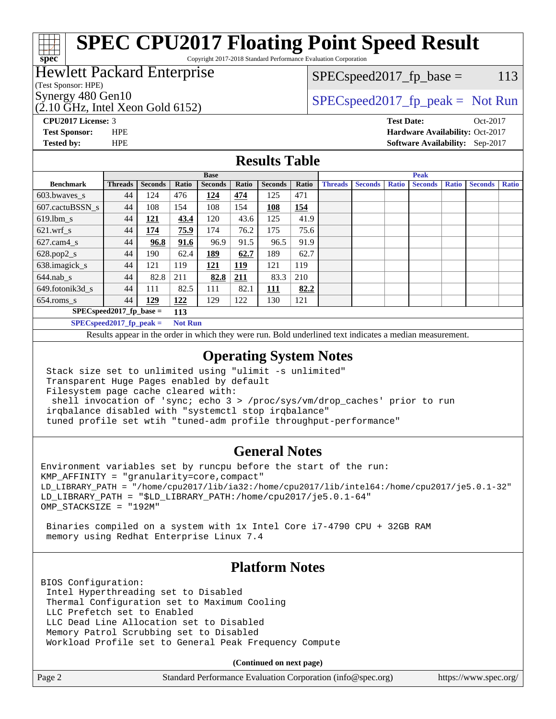# **[SPEC CPU2017 Floating Point Speed Result](http://www.spec.org/auto/cpu2017/Docs/result-fields.html#SPECCPU2017FloatingPointSpeedResult)**

Copyright 2017-2018 Standard Performance Evaluation Corporation

### Hewlett Packard Enterprise

#### (Test Sponsor: HPE)

**[spec](http://www.spec.org/)**

 $(2.10 \text{ GHz}, \text{Intel Xeon}$  Gold 6152)

 $SPEC speed2017_fp\_base = 113$ 

Synergy 480 Gen10  $S^{per}$  [SPECspeed2017\\_fp\\_peak =](http://www.spec.org/auto/cpu2017/Docs/result-fields.html#SPECspeed2017fppeak) Not Run

**[CPU2017 License:](http://www.spec.org/auto/cpu2017/Docs/result-fields.html#CPU2017License)** 3 **[Test Date:](http://www.spec.org/auto/cpu2017/Docs/result-fields.html#TestDate)** Oct-2017 **[Test Sponsor:](http://www.spec.org/auto/cpu2017/Docs/result-fields.html#TestSponsor)** HPE **[Hardware Availability:](http://www.spec.org/auto/cpu2017/Docs/result-fields.html#HardwareAvailability)** Oct-2017 **[Tested by:](http://www.spec.org/auto/cpu2017/Docs/result-fields.html#Testedby)** HPE **[Software Availability:](http://www.spec.org/auto/cpu2017/Docs/result-fields.html#SoftwareAvailability)** Sep-2017

#### **[Results Table](http://www.spec.org/auto/cpu2017/Docs/result-fields.html#ResultsTable)**

|                            | <b>Base</b>    |                |                |                |            | <b>Peak</b>    |       |                |                |              |                |              |                |              |
|----------------------------|----------------|----------------|----------------|----------------|------------|----------------|-------|----------------|----------------|--------------|----------------|--------------|----------------|--------------|
| <b>Benchmark</b>           | <b>Threads</b> | <b>Seconds</b> | Ratio          | <b>Seconds</b> | Ratio      | <b>Seconds</b> | Ratio | <b>Threads</b> | <b>Seconds</b> | <b>Ratio</b> | <b>Seconds</b> | <b>Ratio</b> | <b>Seconds</b> | <b>Ratio</b> |
| $603.bwaves$ s             | 44             | 124            | 476            | 124            | 474        | 125            | 471   |                |                |              |                |              |                |              |
| 607.cactuBSSN s            | 44             | 108            | 154            | 108            | 154        | 108            | 154   |                |                |              |                |              |                |              |
| $619.$ lbm_s               | 44             | 121            | 43.4           | 120            | 43.6       | 125            | 41.9  |                |                |              |                |              |                |              |
| $621.wrf$ s                | 44             | 174            | 75.9           | 174            | 76.2       | 175            | 75.6  |                |                |              |                |              |                |              |
| $627$ .cam $4 \text{ s}$   | 44             | 96.8           | 91.6           | 96.9           | 91.5       | 96.5           | 91.9  |                |                |              |                |              |                |              |
| $628.pop2_s$               | 44             | 190            | 62.4           | <u>189</u>     | 62.7       | 189            | 62.7  |                |                |              |                |              |                |              |
| 638.imagick_s              | 44             | 121            | 119            | 121            | 119        | 121            | 119   |                |                |              |                |              |                |              |
| $644$ .nab s               | 44             | 82.8           | 211            | 82.8           | <u>211</u> | 83.3           | 210   |                |                |              |                |              |                |              |
| 649.fotonik3d s            | 44             | 111            | 82.5           | 111            | 82.1       | <u> 111</u>    | 82.2  |                |                |              |                |              |                |              |
| $654$ .roms s              | 44             | 129            | 122            | 129            | 122        | 130            | 121   |                |                |              |                |              |                |              |
| $SPEC speed2017$ fp base = |                |                | 113            |                |            |                |       |                |                |              |                |              |                |              |
| $SPECspeed2017$ fp peak =  |                |                | <b>Not Run</b> |                |            |                |       |                |                |              |                |              |                |              |

Results appear in the [order in which they were run.](http://www.spec.org/auto/cpu2017/Docs/result-fields.html#RunOrder) Bold underlined text [indicates a median measurement](http://www.spec.org/auto/cpu2017/Docs/result-fields.html#Median).

#### **[Operating System Notes](http://www.spec.org/auto/cpu2017/Docs/result-fields.html#OperatingSystemNotes)**

 Stack size set to unlimited using "ulimit -s unlimited" Transparent Huge Pages enabled by default Filesystem page cache cleared with: shell invocation of 'sync; echo 3 > /proc/sys/vm/drop\_caches' prior to run irqbalance disabled with "systemctl stop irqbalance" tuned profile set wtih "tuned-adm profile throughput-performance"

#### **[General Notes](http://www.spec.org/auto/cpu2017/Docs/result-fields.html#GeneralNotes)**

Environment variables set by runcpu before the start of the run: KMP\_AFFINITY = "granularity=core,compact" LD\_LIBRARY\_PATH = "/home/cpu2017/lib/ia32:/home/cpu2017/lib/intel64:/home/cpu2017/je5.0.1-32" LD\_LIBRARY\_PATH = "\$LD\_LIBRARY\_PATH:/home/cpu2017/je5.0.1-64" OMP\_STACKSIZE = "192M"

 Binaries compiled on a system with 1x Intel Core i7-4790 CPU + 32GB RAM memory using Redhat Enterprise Linux 7.4

#### **[Platform Notes](http://www.spec.org/auto/cpu2017/Docs/result-fields.html#PlatformNotes)**

BIOS Configuration: Intel Hyperthreading set to Disabled Thermal Configuration set to Maximum Cooling LLC Prefetch set to Enabled LLC Dead Line Allocation set to Disabled Memory Patrol Scrubbing set to Disabled Workload Profile set to General Peak Frequency Compute

**(Continued on next page)**

| Page 2 | Standard Performance Evaluation Corporation (info@spec.org) | https://www.spec.org/ |
|--------|-------------------------------------------------------------|-----------------------|
|--------|-------------------------------------------------------------|-----------------------|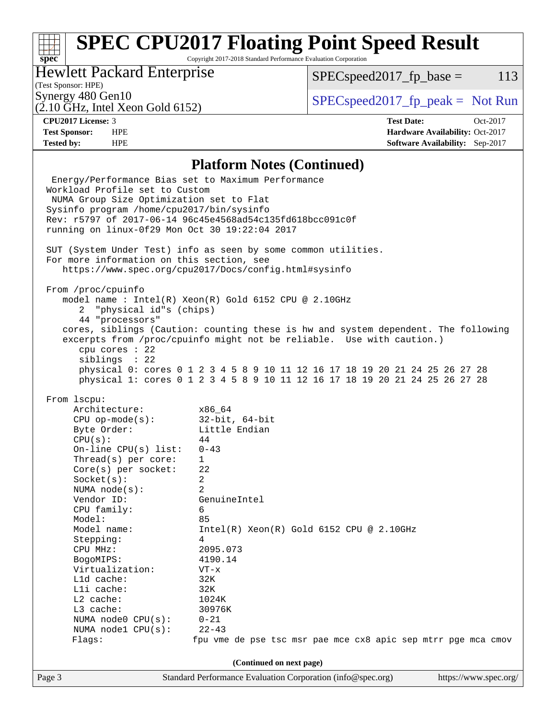# **[SPEC CPU2017 Floating Point Speed Result](http://www.spec.org/auto/cpu2017/Docs/result-fields.html#SPECCPU2017FloatingPointSpeedResult)**

Copyright 2017-2018 Standard Performance Evaluation Corporation

### Hewlett Packard Enterprise

 $SPECspeed2017_fp\_base = 113$ 

## (Test Sponsor: HPE)

 $(2.10 \text{ GHz}, \text{Intel Xeon Gold } 6152)$ 

Synergy 480 Gen10<br>  $SPEC speed2017<sub>rfp</sub> peak = Not Run$ 

**[spec](http://www.spec.org/)**

**[CPU2017 License:](http://www.spec.org/auto/cpu2017/Docs/result-fields.html#CPU2017License)** 3 **[Test Date:](http://www.spec.org/auto/cpu2017/Docs/result-fields.html#TestDate)** Oct-2017 **[Test Sponsor:](http://www.spec.org/auto/cpu2017/Docs/result-fields.html#TestSponsor)** HPE **[Hardware Availability:](http://www.spec.org/auto/cpu2017/Docs/result-fields.html#HardwareAvailability)** Oct-2017 **[Tested by:](http://www.spec.org/auto/cpu2017/Docs/result-fields.html#Testedby)** HPE **[Software Availability:](http://www.spec.org/auto/cpu2017/Docs/result-fields.html#SoftwareAvailability)** Sep-2017

#### **[Platform Notes \(Continued\)](http://www.spec.org/auto/cpu2017/Docs/result-fields.html#PlatformNotes)**

| Energy/Performance Bias set to Maximum Performance<br>Workload Profile set to Custom |                                                                                                                                                                      |  |  |  |  |  |  |  |
|--------------------------------------------------------------------------------------|----------------------------------------------------------------------------------------------------------------------------------------------------------------------|--|--|--|--|--|--|--|
| NUMA Group Size Optimization set to Flat                                             |                                                                                                                                                                      |  |  |  |  |  |  |  |
|                                                                                      | Sysinfo program /home/cpu2017/bin/sysinfo                                                                                                                            |  |  |  |  |  |  |  |
|                                                                                      | Rev: r5797 of 2017-06-14 96c45e4568ad54c135fd618bcc091c0f                                                                                                            |  |  |  |  |  |  |  |
| running on linux-0f29 Mon Oct 30 19:22:04 2017                                       |                                                                                                                                                                      |  |  |  |  |  |  |  |
|                                                                                      | SUT (System Under Test) info as seen by some common utilities.<br>For more information on this section, see<br>https://www.spec.org/cpu2017/Docs/config.html#sysinfo |  |  |  |  |  |  |  |
|                                                                                      |                                                                                                                                                                      |  |  |  |  |  |  |  |
| From /proc/cpuinfo                                                                   |                                                                                                                                                                      |  |  |  |  |  |  |  |
|                                                                                      | model name : Intel(R) Xeon(R) Gold 6152 CPU @ 2.10GHz                                                                                                                |  |  |  |  |  |  |  |
| 2 "physical id"s (chips)                                                             |                                                                                                                                                                      |  |  |  |  |  |  |  |
| 44 "processors"                                                                      |                                                                                                                                                                      |  |  |  |  |  |  |  |
|                                                                                      | cores, siblings (Caution: counting these is hw and system dependent. The following<br>excerpts from /proc/cpuinfo might not be reliable. Use with caution.)          |  |  |  |  |  |  |  |
| cpu cores $: 22$                                                                     |                                                                                                                                                                      |  |  |  |  |  |  |  |
| siblings : 22                                                                        |                                                                                                                                                                      |  |  |  |  |  |  |  |
|                                                                                      | physical 0: cores 0 1 2 3 4 5 8 9 10 11 12 16 17 18 19 20 21 24 25 26 27 28                                                                                          |  |  |  |  |  |  |  |
|                                                                                      | physical 1: cores 0 1 2 3 4 5 8 9 10 11 12 16 17 18 19 20 21 24 25 26 27 28                                                                                          |  |  |  |  |  |  |  |
|                                                                                      |                                                                                                                                                                      |  |  |  |  |  |  |  |
| From 1scpu:                                                                          |                                                                                                                                                                      |  |  |  |  |  |  |  |
| Architecture:                                                                        | x86_64                                                                                                                                                               |  |  |  |  |  |  |  |
| $CPU$ op-mode(s):                                                                    | 32-bit, 64-bit                                                                                                                                                       |  |  |  |  |  |  |  |
| Byte Order:                                                                          | Little Endian                                                                                                                                                        |  |  |  |  |  |  |  |
| CPU(s):                                                                              | 44                                                                                                                                                                   |  |  |  |  |  |  |  |
| On-line $CPU(s)$ list:                                                               | $0 - 43$                                                                                                                                                             |  |  |  |  |  |  |  |
| Thread(s) per core:                                                                  | $\mathbf{1}$                                                                                                                                                         |  |  |  |  |  |  |  |
| $Core(s)$ per socket:                                                                | 22                                                                                                                                                                   |  |  |  |  |  |  |  |
| Socket(s):                                                                           | 2                                                                                                                                                                    |  |  |  |  |  |  |  |
| NUMA $node(s):$                                                                      | 2                                                                                                                                                                    |  |  |  |  |  |  |  |
| Vendor ID:                                                                           | GenuineIntel                                                                                                                                                         |  |  |  |  |  |  |  |
| CPU family:                                                                          | 6                                                                                                                                                                    |  |  |  |  |  |  |  |
| Model:                                                                               | 85                                                                                                                                                                   |  |  |  |  |  |  |  |
| Model name:                                                                          | $Intel(R)$ Xeon $(R)$ Gold 6152 CPU @ 2.10GHz<br>4                                                                                                                   |  |  |  |  |  |  |  |
| Stepping:<br>CPU MHz:                                                                | 2095.073                                                                                                                                                             |  |  |  |  |  |  |  |
| BogoMIPS:                                                                            | 4190.14                                                                                                                                                              |  |  |  |  |  |  |  |
| Virtualization:                                                                      | $VT - x$                                                                                                                                                             |  |  |  |  |  |  |  |
| $L1d$ cache:                                                                         | 32K                                                                                                                                                                  |  |  |  |  |  |  |  |
| Lli cache:                                                                           | 32K                                                                                                                                                                  |  |  |  |  |  |  |  |
| L2 cache:                                                                            | 1024K                                                                                                                                                                |  |  |  |  |  |  |  |
| L3 cache:                                                                            | 30976K                                                                                                                                                               |  |  |  |  |  |  |  |
| NUMA node0 CPU(s):                                                                   | $0 - 21$                                                                                                                                                             |  |  |  |  |  |  |  |
| NUMA nodel CPU(s):                                                                   | $22 - 43$                                                                                                                                                            |  |  |  |  |  |  |  |
| Flags:                                                                               | fpu vme de pse tsc msr pae mce cx8 apic sep mtrr pge mca cmov                                                                                                        |  |  |  |  |  |  |  |
|                                                                                      |                                                                                                                                                                      |  |  |  |  |  |  |  |
| (Continued on next page)                                                             |                                                                                                                                                                      |  |  |  |  |  |  |  |
| Page 3                                                                               | Standard Performance Evaluation Corporation (info@spec.org)<br>https://www.spec.org/                                                                                 |  |  |  |  |  |  |  |
|                                                                                      |                                                                                                                                                                      |  |  |  |  |  |  |  |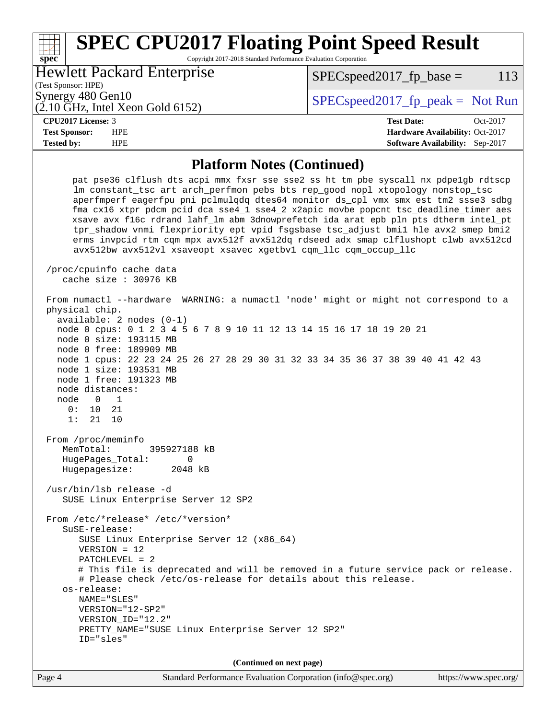#### **[spec](http://www.spec.org/) [SPEC CPU2017 Floating Point Speed Result](http://www.spec.org/auto/cpu2017/Docs/result-fields.html#SPECCPU2017FloatingPointSpeedResult)** Copyright 2017-2018 Standard Performance Evaluation Corporation (Test Sponsor: HPE) Hewlett Packard Enterprise (2.10 GHz, Intel Xeon Gold 6152) Synergy 480 Gen10  $S^{per}$  [SPECspeed2017\\_fp\\_peak =](http://www.spec.org/auto/cpu2017/Docs/result-fields.html#SPECspeed2017fppeak) Not Run  $SPEC speed2017<sub>fp</sub> base = 113$ **[CPU2017 License:](http://www.spec.org/auto/cpu2017/Docs/result-fields.html#CPU2017License)** 3 **[Test Date:](http://www.spec.org/auto/cpu2017/Docs/result-fields.html#TestDate)** Oct-2017 **[Test Sponsor:](http://www.spec.org/auto/cpu2017/Docs/result-fields.html#TestSponsor)** HPE **[Hardware Availability:](http://www.spec.org/auto/cpu2017/Docs/result-fields.html#HardwareAvailability)** Oct-2017 **[Tested by:](http://www.spec.org/auto/cpu2017/Docs/result-fields.html#Testedby)** HPE **[Software Availability:](http://www.spec.org/auto/cpu2017/Docs/result-fields.html#SoftwareAvailability)** Sep-2017 **[Platform Notes \(Continued\)](http://www.spec.org/auto/cpu2017/Docs/result-fields.html#PlatformNotes)** pat pse36 clflush dts acpi mmx fxsr sse sse2 ss ht tm pbe syscall nx pdpe1gb rdtscp lm constant\_tsc art arch\_perfmon pebs bts rep\_good nopl xtopology nonstop\_tsc aperfmperf eagerfpu pni pclmulqdq dtes64 monitor ds\_cpl vmx smx est tm2 ssse3 sdbg fma cx16 xtpr pdcm pcid dca sse4\_1 sse4\_2 x2apic movbe popcnt tsc\_deadline\_timer aes xsave avx f16c rdrand lahf\_lm abm 3dnowprefetch ida arat epb pln pts dtherm intel\_pt tpr\_shadow vnmi flexpriority ept vpid fsgsbase tsc\_adjust bmi1 hle avx2 smep bmi2 erms invpcid rtm cqm mpx avx512f avx512dq rdseed adx smap clflushopt clwb avx512cd avx512bw avx512vl xsaveopt xsavec xgetbv1 cqm\_llc cqm\_occup\_llc /proc/cpuinfo cache data cache size : 30976 KB From numactl --hardware WARNING: a numactl 'node' might or might not correspond to a physical chip. available: 2 nodes (0-1) node 0 cpus: 0 1 2 3 4 5 6 7 8 9 10 11 12 13 14 15 16 17 18 19 20 21 node 0 size: 193115 MB node 0 free: 189909 MB node 1 cpus: 22 23 24 25 26 27 28 29 30 31 32 33 34 35 36 37 38 39 40 41 42 43 node 1 size: 193531 MB node 1 free: 191323 MB node distances: node 0 1 0: 10 21 1: 21 10 From /proc/meminfo MemTotal: 395927188 kB HugePages\_Total: 0 Hugepagesize: 2048 kB /usr/bin/lsb\_release -d SUSE Linux Enterprise Server 12 SP2 From /etc/\*release\* /etc/\*version\* SuSE-release: SUSE Linux Enterprise Server 12 (x86\_64) VERSION = 12 PATCHLEVEL = 2 # This file is deprecated and will be removed in a future service pack or release. # Please check /etc/os-release for details about this release. os-release: NAME="SLES" VERSION="12-SP2" VERSION\_ID="12.2"

**(Continued on next page)**

PRETTY\_NAME="SUSE Linux Enterprise Server 12 SP2"

ID="sles"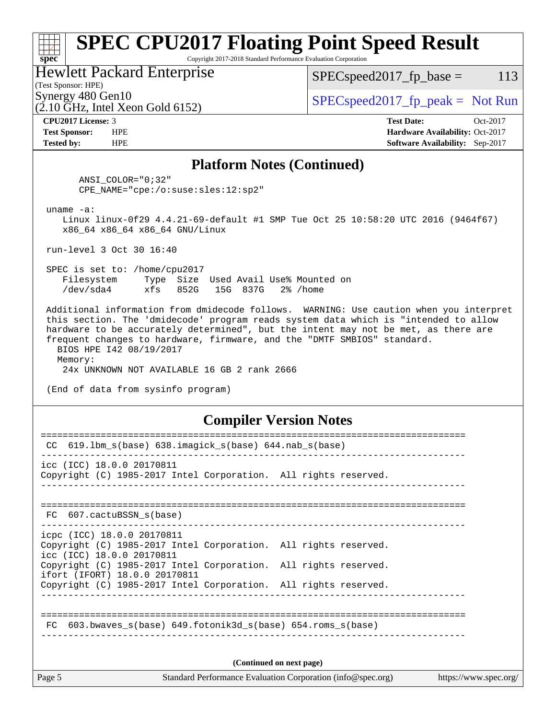# **[SPEC CPU2017 Floating Point Speed Result](http://www.spec.org/auto/cpu2017/Docs/result-fields.html#SPECCPU2017FloatingPointSpeedResult)**

Copyright 2017-2018 Standard Performance Evaluation Corporation

Hewlett Packard Enterprise

 $SPEC speed2017_fp\_base = 113$ 

(Test Sponsor: HPE)

(2.10 GHz, Intel Xeon Gold 6152)

Synergy 480 Gen10  $SPEC speed2017$  fp\_peak = Not Run

**[spec](http://www.spec.org/)**

**[CPU2017 License:](http://www.spec.org/auto/cpu2017/Docs/result-fields.html#CPU2017License)** 3 **[Test Date:](http://www.spec.org/auto/cpu2017/Docs/result-fields.html#TestDate)** Oct-2017 **[Test Sponsor:](http://www.spec.org/auto/cpu2017/Docs/result-fields.html#TestSponsor)** HPE **[Hardware Availability:](http://www.spec.org/auto/cpu2017/Docs/result-fields.html#HardwareAvailability)** Oct-2017 **[Tested by:](http://www.spec.org/auto/cpu2017/Docs/result-fields.html#Testedby)** HPE **[Software Availability:](http://www.spec.org/auto/cpu2017/Docs/result-fields.html#SoftwareAvailability)** Sep-2017

#### **[Platform Notes \(Continued\)](http://www.spec.org/auto/cpu2017/Docs/result-fields.html#PlatformNotes)**

 ANSI\_COLOR="0;32" CPE\_NAME="cpe:/o:suse:sles:12:sp2"

uname -a:

 Linux linux-0f29 4.4.21-69-default #1 SMP Tue Oct 25 10:58:20 UTC 2016 (9464f67) x86\_64 x86\_64 x86\_64 GNU/Linux

run-level 3 Oct 30 16:40

 SPEC is set to: /home/cpu2017 Filesystem Type Size Used Avail Use% Mounted on /dev/sda4 xfs 852G 15G 837G 2% /home

 Additional information from dmidecode follows. WARNING: Use caution when you interpret this section. The 'dmidecode' program reads system data which is "intended to allow hardware to be accurately determined", but the intent may not be met, as there are frequent changes to hardware, firmware, and the "DMTF SMBIOS" standard. BIOS HPE I42 08/19/2017

 Memory: 24x UNKNOWN NOT AVAILABLE 16 GB 2 rank 2666

(End of data from sysinfo program)

#### **[Compiler Version Notes](http://www.spec.org/auto/cpu2017/Docs/result-fields.html#CompilerVersionNotes)**

| Page 5 | Standard Performance Evaluation Corporation (info@spec.org)<br>https://www.spec.org/                                          |  |  |  |  |  |
|--------|-------------------------------------------------------------------------------------------------------------------------------|--|--|--|--|--|
|        | (Continued on next page)                                                                                                      |  |  |  |  |  |
|        | FC 603.bwaves s(base) 649.fotonik3d s(base) 654.roms s(base)                                                                  |  |  |  |  |  |
|        |                                                                                                                               |  |  |  |  |  |
|        | Copyright (C) 1985-2017 Intel Corporation. All rights reserved.                                                               |  |  |  |  |  |
|        | icc (ICC) 18.0.0 20170811<br>Copyright (C) 1985-2017 Intel Corporation. All rights reserved.<br>ifort (IFORT) 18.0.0 20170811 |  |  |  |  |  |
|        | icpc (ICC) 18.0.0 20170811<br>Copyright (C) 1985-2017 Intel Corporation. All rights reserved.                                 |  |  |  |  |  |
|        | FC 607.cactuBSSN s(base)                                                                                                      |  |  |  |  |  |
|        | icc (ICC) 18.0.0 20170811<br>Copyright (C) 1985-2017 Intel Corporation. All rights reserved.                                  |  |  |  |  |  |
| CC.    | $619.1$ bm_s(base) $638.imagick_s(base)$ $644.nab_s(base)$                                                                    |  |  |  |  |  |
|        |                                                                                                                               |  |  |  |  |  |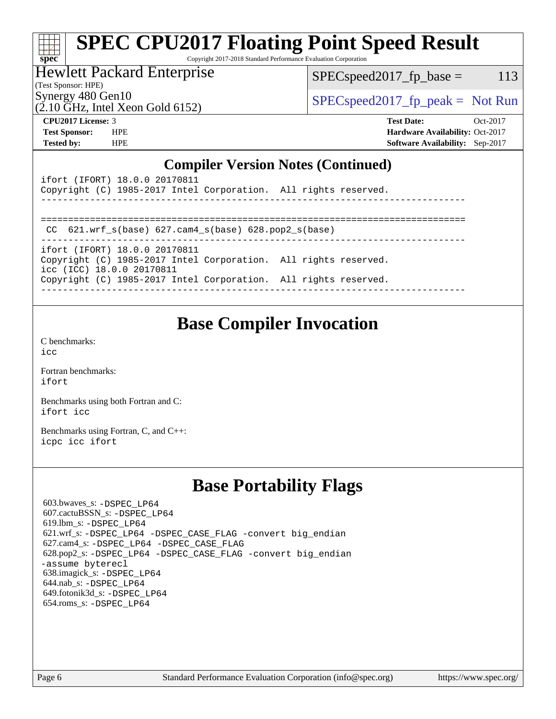#### **[spec](http://www.spec.org/) [SPEC CPU2017 Floating Point Speed Result](http://www.spec.org/auto/cpu2017/Docs/result-fields.html#SPECCPU2017FloatingPointSpeedResult)** Copyright 2017-2018 Standard Performance Evaluation Corporation

### Hewlett Packard Enterprise

 $SPEC speed2017_fp\_base = 113$ 

(Test Sponsor: HPE)

Synergy 480 Gen10<br>  $SPEC speed2017<sub>rfp</sub> peak = Not Run$ 

# $(2.10 \text{ GHz}, \text{Intel Xeon Gold } 6152)$

**[CPU2017 License:](http://www.spec.org/auto/cpu2017/Docs/result-fields.html#CPU2017License)** 3 **[Test Date:](http://www.spec.org/auto/cpu2017/Docs/result-fields.html#TestDate)** Oct-2017 **[Test Sponsor:](http://www.spec.org/auto/cpu2017/Docs/result-fields.html#TestSponsor)** HPE **[Hardware Availability:](http://www.spec.org/auto/cpu2017/Docs/result-fields.html#HardwareAvailability)** Oct-2017 **[Tested by:](http://www.spec.org/auto/cpu2017/Docs/result-fields.html#Testedby)** HPE **[Software Availability:](http://www.spec.org/auto/cpu2017/Docs/result-fields.html#SoftwareAvailability)** Sep-2017

#### **[Compiler Version Notes \(Continued\)](http://www.spec.org/auto/cpu2017/Docs/result-fields.html#CompilerVersionNotes)**

| ifort (IFORT) 18.0.0 20170811<br>Copyright (C) 1985-2017 Intel Corporation. All rights reserved. |  |
|--------------------------------------------------------------------------------------------------|--|
|                                                                                                  |  |
| CC $621.wrf s(base) 627.cam4 s(base) 628.pop2 s(base)$                                           |  |
| ifort (IFORT) 18.0.0 20170811                                                                    |  |
| Copyright (C) 1985-2017 Intel Corporation. All rights reserved.<br>icc (ICC) 18.0.0 20170811     |  |
| Copyright (C) 1985-2017 Intel Corporation. All rights reserved.                                  |  |
|                                                                                                  |  |

## **[Base Compiler Invocation](http://www.spec.org/auto/cpu2017/Docs/result-fields.html#BaseCompilerInvocation)**

[C benchmarks](http://www.spec.org/auto/cpu2017/Docs/result-fields.html#Cbenchmarks): [icc](http://www.spec.org/cpu2017/results/res2017q4/cpu2017-20171114-00828.flags.html#user_CCbase_intel_icc_18.0_66fc1ee009f7361af1fbd72ca7dcefbb700085f36577c54f309893dd4ec40d12360134090235512931783d35fd58c0460139e722d5067c5574d8eaf2b3e37e92)

[Fortran benchmarks](http://www.spec.org/auto/cpu2017/Docs/result-fields.html#Fortranbenchmarks): [ifort](http://www.spec.org/cpu2017/results/res2017q4/cpu2017-20171114-00828.flags.html#user_FCbase_intel_ifort_18.0_8111460550e3ca792625aed983ce982f94888b8b503583aa7ba2b8303487b4d8a21a13e7191a45c5fd58ff318f48f9492884d4413fa793fd88dd292cad7027ca)

[Benchmarks using both Fortran and C](http://www.spec.org/auto/cpu2017/Docs/result-fields.html#BenchmarksusingbothFortranandC): [ifort](http://www.spec.org/cpu2017/results/res2017q4/cpu2017-20171114-00828.flags.html#user_CC_FCbase_intel_ifort_18.0_8111460550e3ca792625aed983ce982f94888b8b503583aa7ba2b8303487b4d8a21a13e7191a45c5fd58ff318f48f9492884d4413fa793fd88dd292cad7027ca) [icc](http://www.spec.org/cpu2017/results/res2017q4/cpu2017-20171114-00828.flags.html#user_CC_FCbase_intel_icc_18.0_66fc1ee009f7361af1fbd72ca7dcefbb700085f36577c54f309893dd4ec40d12360134090235512931783d35fd58c0460139e722d5067c5574d8eaf2b3e37e92)

[Benchmarks using Fortran, C, and C++:](http://www.spec.org/auto/cpu2017/Docs/result-fields.html#BenchmarksusingFortranCandCXX) [icpc](http://www.spec.org/cpu2017/results/res2017q4/cpu2017-20171114-00828.flags.html#user_CC_CXX_FCbase_intel_icpc_18.0_c510b6838c7f56d33e37e94d029a35b4a7bccf4766a728ee175e80a419847e808290a9b78be685c44ab727ea267ec2f070ec5dc83b407c0218cded6866a35d07) [icc](http://www.spec.org/cpu2017/results/res2017q4/cpu2017-20171114-00828.flags.html#user_CC_CXX_FCbase_intel_icc_18.0_66fc1ee009f7361af1fbd72ca7dcefbb700085f36577c54f309893dd4ec40d12360134090235512931783d35fd58c0460139e722d5067c5574d8eaf2b3e37e92) [ifort](http://www.spec.org/cpu2017/results/res2017q4/cpu2017-20171114-00828.flags.html#user_CC_CXX_FCbase_intel_ifort_18.0_8111460550e3ca792625aed983ce982f94888b8b503583aa7ba2b8303487b4d8a21a13e7191a45c5fd58ff318f48f9492884d4413fa793fd88dd292cad7027ca)

## **[Base Portability Flags](http://www.spec.org/auto/cpu2017/Docs/result-fields.html#BasePortabilityFlags)**

 603.bwaves\_s: [-DSPEC\\_LP64](http://www.spec.org/cpu2017/results/res2017q4/cpu2017-20171114-00828.flags.html#suite_basePORTABILITY603_bwaves_s_DSPEC_LP64) 607.cactuBSSN\_s: [-DSPEC\\_LP64](http://www.spec.org/cpu2017/results/res2017q4/cpu2017-20171114-00828.flags.html#suite_basePORTABILITY607_cactuBSSN_s_DSPEC_LP64) 619.lbm\_s: [-DSPEC\\_LP64](http://www.spec.org/cpu2017/results/res2017q4/cpu2017-20171114-00828.flags.html#suite_basePORTABILITY619_lbm_s_DSPEC_LP64) 621.wrf\_s: [-DSPEC\\_LP64](http://www.spec.org/cpu2017/results/res2017q4/cpu2017-20171114-00828.flags.html#suite_basePORTABILITY621_wrf_s_DSPEC_LP64) [-DSPEC\\_CASE\\_FLAG](http://www.spec.org/cpu2017/results/res2017q4/cpu2017-20171114-00828.flags.html#b621.wrf_s_baseCPORTABILITY_DSPEC_CASE_FLAG) [-convert big\\_endian](http://www.spec.org/cpu2017/results/res2017q4/cpu2017-20171114-00828.flags.html#user_baseFPORTABILITY621_wrf_s_convert_big_endian_c3194028bc08c63ac5d04de18c48ce6d347e4e562e8892b8bdbdc0214820426deb8554edfa529a3fb25a586e65a3d812c835984020483e7e73212c4d31a38223) 627.cam4\_s: [-DSPEC\\_LP64](http://www.spec.org/cpu2017/results/res2017q4/cpu2017-20171114-00828.flags.html#suite_basePORTABILITY627_cam4_s_DSPEC_LP64) [-DSPEC\\_CASE\\_FLAG](http://www.spec.org/cpu2017/results/res2017q4/cpu2017-20171114-00828.flags.html#b627.cam4_s_baseCPORTABILITY_DSPEC_CASE_FLAG) 628.pop2\_s: [-DSPEC\\_LP64](http://www.spec.org/cpu2017/results/res2017q4/cpu2017-20171114-00828.flags.html#suite_basePORTABILITY628_pop2_s_DSPEC_LP64) [-DSPEC\\_CASE\\_FLAG](http://www.spec.org/cpu2017/results/res2017q4/cpu2017-20171114-00828.flags.html#b628.pop2_s_baseCPORTABILITY_DSPEC_CASE_FLAG) [-convert big\\_endian](http://www.spec.org/cpu2017/results/res2017q4/cpu2017-20171114-00828.flags.html#user_baseFPORTABILITY628_pop2_s_convert_big_endian_c3194028bc08c63ac5d04de18c48ce6d347e4e562e8892b8bdbdc0214820426deb8554edfa529a3fb25a586e65a3d812c835984020483e7e73212c4d31a38223) [-assume byterecl](http://www.spec.org/cpu2017/results/res2017q4/cpu2017-20171114-00828.flags.html#user_baseFPORTABILITY628_pop2_s_assume_byterecl_7e47d18b9513cf18525430bbf0f2177aa9bf368bc7a059c09b2c06a34b53bd3447c950d3f8d6c70e3faf3a05c8557d66a5798b567902e8849adc142926523472) 638.imagick\_s: [-DSPEC\\_LP64](http://www.spec.org/cpu2017/results/res2017q4/cpu2017-20171114-00828.flags.html#suite_basePORTABILITY638_imagick_s_DSPEC_LP64) 644.nab\_s: [-DSPEC\\_LP64](http://www.spec.org/cpu2017/results/res2017q4/cpu2017-20171114-00828.flags.html#suite_basePORTABILITY644_nab_s_DSPEC_LP64) 649.fotonik3d\_s: [-DSPEC\\_LP64](http://www.spec.org/cpu2017/results/res2017q4/cpu2017-20171114-00828.flags.html#suite_basePORTABILITY649_fotonik3d_s_DSPEC_LP64) 654.roms\_s: [-DSPEC\\_LP64](http://www.spec.org/cpu2017/results/res2017q4/cpu2017-20171114-00828.flags.html#suite_basePORTABILITY654_roms_s_DSPEC_LP64)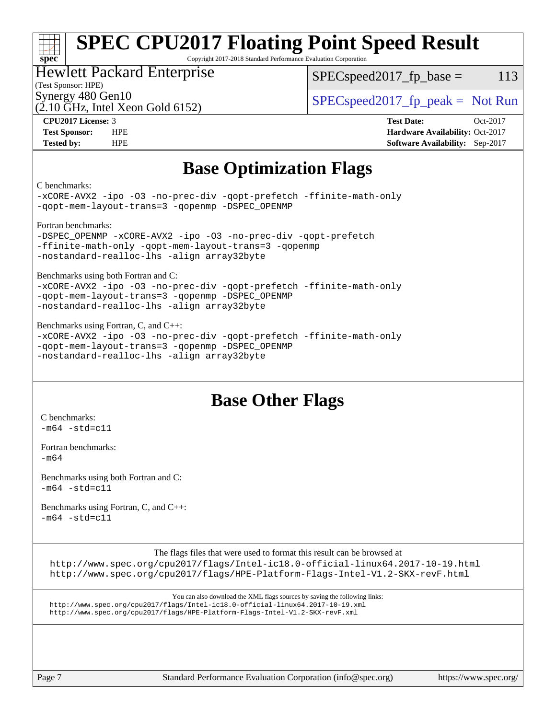#### **[spec](http://www.spec.org/) [SPEC CPU2017 Floating Point Speed Result](http://www.spec.org/auto/cpu2017/Docs/result-fields.html#SPECCPU2017FloatingPointSpeedResult)**

Copyright 2017-2018 Standard Performance Evaluation Corporation

### Hewlett Packard Enterprise

 $SPEC speed2017<sub>fp</sub> base = 113$ 

### (Test Sponsor: HPE)

(2.10 GHz, Intel Xeon Gold 6152)

Synergy 480 Gen10  $S^{per}$  [SPECspeed2017\\_fp\\_peak =](http://www.spec.org/auto/cpu2017/Docs/result-fields.html#SPECspeed2017fppeak) Not Run

**[CPU2017 License:](http://www.spec.org/auto/cpu2017/Docs/result-fields.html#CPU2017License)** 3 **[Test Date:](http://www.spec.org/auto/cpu2017/Docs/result-fields.html#TestDate)** Oct-2017 **[Test Sponsor:](http://www.spec.org/auto/cpu2017/Docs/result-fields.html#TestSponsor)** HPE **[Hardware Availability:](http://www.spec.org/auto/cpu2017/Docs/result-fields.html#HardwareAvailability)** Oct-2017 **[Tested by:](http://www.spec.org/auto/cpu2017/Docs/result-fields.html#Testedby)** HPE **[Software Availability:](http://www.spec.org/auto/cpu2017/Docs/result-fields.html#SoftwareAvailability)** Sep-2017

### **[Base Optimization Flags](http://www.spec.org/auto/cpu2017/Docs/result-fields.html#BaseOptimizationFlags)**

#### [C benchmarks:](http://www.spec.org/auto/cpu2017/Docs/result-fields.html#Cbenchmarks)

[-xCORE-AVX2](http://www.spec.org/cpu2017/results/res2017q4/cpu2017-20171114-00828.flags.html#user_CCbase_f-xCORE-AVX2) [-ipo](http://www.spec.org/cpu2017/results/res2017q4/cpu2017-20171114-00828.flags.html#user_CCbase_f-ipo) [-O3](http://www.spec.org/cpu2017/results/res2017q4/cpu2017-20171114-00828.flags.html#user_CCbase_f-O3) [-no-prec-div](http://www.spec.org/cpu2017/results/res2017q4/cpu2017-20171114-00828.flags.html#user_CCbase_f-no-prec-div) [-qopt-prefetch](http://www.spec.org/cpu2017/results/res2017q4/cpu2017-20171114-00828.flags.html#user_CCbase_f-qopt-prefetch) [-ffinite-math-only](http://www.spec.org/cpu2017/results/res2017q4/cpu2017-20171114-00828.flags.html#user_CCbase_f_finite_math_only_cb91587bd2077682c4b38af759c288ed7c732db004271a9512da14a4f8007909a5f1427ecbf1a0fb78ff2a814402c6114ac565ca162485bbcae155b5e4258871) [-qopt-mem-layout-trans=3](http://www.spec.org/cpu2017/results/res2017q4/cpu2017-20171114-00828.flags.html#user_CCbase_f-qopt-mem-layout-trans_de80db37974c74b1f0e20d883f0b675c88c3b01e9d123adea9b28688d64333345fb62bc4a798493513fdb68f60282f9a726aa07f478b2f7113531aecce732043) [-qopenmp](http://www.spec.org/cpu2017/results/res2017q4/cpu2017-20171114-00828.flags.html#user_CCbase_qopenmp_16be0c44f24f464004c6784a7acb94aca937f053568ce72f94b139a11c7c168634a55f6653758ddd83bcf7b8463e8028bb0b48b77bcddc6b78d5d95bb1df2967) [-DSPEC\\_OPENMP](http://www.spec.org/cpu2017/results/res2017q4/cpu2017-20171114-00828.flags.html#suite_CCbase_DSPEC_OPENMP)

[Fortran benchmarks:](http://www.spec.org/auto/cpu2017/Docs/result-fields.html#Fortranbenchmarks)

```
-DSPEC_OPENMP -xCORE-AVX2 -ipo -O3 -no-prec-div -qopt-prefetch
-ffinite-math-only -qopt-mem-layout-trans=3 -qopenmp
-nostandard-realloc-lhs -align array32byte
```
[Benchmarks using both Fortran and C:](http://www.spec.org/auto/cpu2017/Docs/result-fields.html#BenchmarksusingbothFortranandC)

[-xCORE-AVX2](http://www.spec.org/cpu2017/results/res2017q4/cpu2017-20171114-00828.flags.html#user_CC_FCbase_f-xCORE-AVX2) [-ipo](http://www.spec.org/cpu2017/results/res2017q4/cpu2017-20171114-00828.flags.html#user_CC_FCbase_f-ipo) [-O3](http://www.spec.org/cpu2017/results/res2017q4/cpu2017-20171114-00828.flags.html#user_CC_FCbase_f-O3) [-no-prec-div](http://www.spec.org/cpu2017/results/res2017q4/cpu2017-20171114-00828.flags.html#user_CC_FCbase_f-no-prec-div) [-qopt-prefetch](http://www.spec.org/cpu2017/results/res2017q4/cpu2017-20171114-00828.flags.html#user_CC_FCbase_f-qopt-prefetch) [-ffinite-math-only](http://www.spec.org/cpu2017/results/res2017q4/cpu2017-20171114-00828.flags.html#user_CC_FCbase_f_finite_math_only_cb91587bd2077682c4b38af759c288ed7c732db004271a9512da14a4f8007909a5f1427ecbf1a0fb78ff2a814402c6114ac565ca162485bbcae155b5e4258871) [-qopt-mem-layout-trans=3](http://www.spec.org/cpu2017/results/res2017q4/cpu2017-20171114-00828.flags.html#user_CC_FCbase_f-qopt-mem-layout-trans_de80db37974c74b1f0e20d883f0b675c88c3b01e9d123adea9b28688d64333345fb62bc4a798493513fdb68f60282f9a726aa07f478b2f7113531aecce732043) [-qopenmp](http://www.spec.org/cpu2017/results/res2017q4/cpu2017-20171114-00828.flags.html#user_CC_FCbase_qopenmp_16be0c44f24f464004c6784a7acb94aca937f053568ce72f94b139a11c7c168634a55f6653758ddd83bcf7b8463e8028bb0b48b77bcddc6b78d5d95bb1df2967) [-DSPEC\\_OPENMP](http://www.spec.org/cpu2017/results/res2017q4/cpu2017-20171114-00828.flags.html#suite_CC_FCbase_DSPEC_OPENMP) [-nostandard-realloc-lhs](http://www.spec.org/cpu2017/results/res2017q4/cpu2017-20171114-00828.flags.html#user_CC_FCbase_f_2003_std_realloc_82b4557e90729c0f113870c07e44d33d6f5a304b4f63d4c15d2d0f1fab99f5daaed73bdb9275d9ae411527f28b936061aa8b9c8f2d63842963b95c9dd6426b8a) [-align array32byte](http://www.spec.org/cpu2017/results/res2017q4/cpu2017-20171114-00828.flags.html#user_CC_FCbase_align_array32byte_b982fe038af199962ba9a80c053b8342c548c85b40b8e86eb3cc33dee0d7986a4af373ac2d51c3f7cf710a18d62fdce2948f201cd044323541f22fc0fffc51b6)

[Benchmarks using Fortran, C, and C++](http://www.spec.org/auto/cpu2017/Docs/result-fields.html#BenchmarksusingFortranCandCXX):

[-xCORE-AVX2](http://www.spec.org/cpu2017/results/res2017q4/cpu2017-20171114-00828.flags.html#user_CC_CXX_FCbase_f-xCORE-AVX2) [-ipo](http://www.spec.org/cpu2017/results/res2017q4/cpu2017-20171114-00828.flags.html#user_CC_CXX_FCbase_f-ipo) [-O3](http://www.spec.org/cpu2017/results/res2017q4/cpu2017-20171114-00828.flags.html#user_CC_CXX_FCbase_f-O3) [-no-prec-div](http://www.spec.org/cpu2017/results/res2017q4/cpu2017-20171114-00828.flags.html#user_CC_CXX_FCbase_f-no-prec-div) [-qopt-prefetch](http://www.spec.org/cpu2017/results/res2017q4/cpu2017-20171114-00828.flags.html#user_CC_CXX_FCbase_f-qopt-prefetch) [-ffinite-math-only](http://www.spec.org/cpu2017/results/res2017q4/cpu2017-20171114-00828.flags.html#user_CC_CXX_FCbase_f_finite_math_only_cb91587bd2077682c4b38af759c288ed7c732db004271a9512da14a4f8007909a5f1427ecbf1a0fb78ff2a814402c6114ac565ca162485bbcae155b5e4258871) [-qopt-mem-layout-trans=3](http://www.spec.org/cpu2017/results/res2017q4/cpu2017-20171114-00828.flags.html#user_CC_CXX_FCbase_f-qopt-mem-layout-trans_de80db37974c74b1f0e20d883f0b675c88c3b01e9d123adea9b28688d64333345fb62bc4a798493513fdb68f60282f9a726aa07f478b2f7113531aecce732043) [-qopenmp](http://www.spec.org/cpu2017/results/res2017q4/cpu2017-20171114-00828.flags.html#user_CC_CXX_FCbase_qopenmp_16be0c44f24f464004c6784a7acb94aca937f053568ce72f94b139a11c7c168634a55f6653758ddd83bcf7b8463e8028bb0b48b77bcddc6b78d5d95bb1df2967) [-DSPEC\\_OPENMP](http://www.spec.org/cpu2017/results/res2017q4/cpu2017-20171114-00828.flags.html#suite_CC_CXX_FCbase_DSPEC_OPENMP) [-nostandard-realloc-lhs](http://www.spec.org/cpu2017/results/res2017q4/cpu2017-20171114-00828.flags.html#user_CC_CXX_FCbase_f_2003_std_realloc_82b4557e90729c0f113870c07e44d33d6f5a304b4f63d4c15d2d0f1fab99f5daaed73bdb9275d9ae411527f28b936061aa8b9c8f2d63842963b95c9dd6426b8a) [-align array32byte](http://www.spec.org/cpu2017/results/res2017q4/cpu2017-20171114-00828.flags.html#user_CC_CXX_FCbase_align_array32byte_b982fe038af199962ba9a80c053b8342c548c85b40b8e86eb3cc33dee0d7986a4af373ac2d51c3f7cf710a18d62fdce2948f201cd044323541f22fc0fffc51b6)

### **[Base Other Flags](http://www.spec.org/auto/cpu2017/Docs/result-fields.html#BaseOtherFlags)**

[C benchmarks](http://www.spec.org/auto/cpu2017/Docs/result-fields.html#Cbenchmarks):  $-m64 - std= c11$  $-m64 - std= c11$ 

[Fortran benchmarks](http://www.spec.org/auto/cpu2017/Docs/result-fields.html#Fortranbenchmarks): [-m64](http://www.spec.org/cpu2017/results/res2017q4/cpu2017-20171114-00828.flags.html#user_FCbase_intel_intel64_18.0_af43caccfc8ded86e7699f2159af6efc7655f51387b94da716254467f3c01020a5059329e2569e4053f409e7c9202a7efc638f7a6d1ffb3f52dea4a3e31d82ab)

```
Benchmarks using both Fortran and C: 
-m64 -std=cl1
```
[Benchmarks using Fortran, C, and C++:](http://www.spec.org/auto/cpu2017/Docs/result-fields.html#BenchmarksusingFortranCandCXX)  $-m64 - std= c11$  $-m64 - std= c11$ 

The flags files that were used to format this result can be browsed at

<http://www.spec.org/cpu2017/flags/Intel-ic18.0-official-linux64.2017-10-19.html> <http://www.spec.org/cpu2017/flags/HPE-Platform-Flags-Intel-V1.2-SKX-revF.html>

```
You can also download the XML flags sources by saving the following links:
http://www.spec.org/cpu2017/flags/Intel-ic18.0-official-linux64.2017-10-19.xml
http://www.spec.org/cpu2017/flags/HPE-Platform-Flags-Intel-V1.2-SKX-revF.xml
```